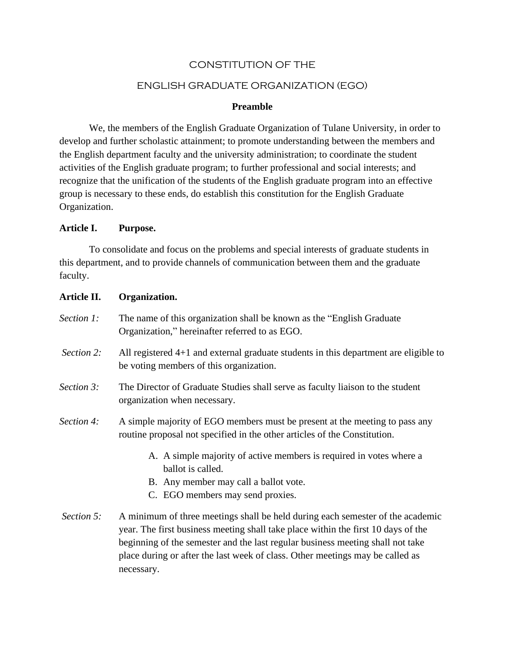## CONSTITUTION OF THE

### ENGLISH GRADUATE ORGANIZATION (EGO)

### **Preamble**

We, the members of the English Graduate Organization of Tulane University, in order to develop and further scholastic attainment; to promote understanding between the members and the English department faculty and the university administration; to coordinate the student activities of the English graduate program; to further professional and social interests; and recognize that the unification of the students of the English graduate program into an effective group is necessary to these ends, do establish this constitution for the English Graduate Organization.

### **Article I. Purpose.**

To consolidate and focus on the problems and special interests of graduate students in this department, and to provide channels of communication between them and the graduate faculty.

# **Article II. Organization.**  *Section 1:* The name of this organization shall be known as the "English Graduate" Organization," hereinafter referred to as EGO. *Section 2:* All registered 4+1 and external graduate students in this department are eligible to be voting members of this organization. *Section 3:* The Director of Graduate Studies shall serve as faculty liaison to the student organization when necessary. *Section 4:* A simple majority of EGO members must be present at the meeting to pass any routine proposal not specified in the other articles of the Constitution. A. A simple majority of active members is required in votes where a ballot is called. B. Any member may call a ballot vote.

- C. EGO members may send proxies.
- *Section 5:* A minimum of three meetings shall be held during each semester of the academic year. The first business meeting shall take place within the first 10 days of the beginning of the semester and the last regular business meeting shall not take place during or after the last week of class. Other meetings may be called as necessary.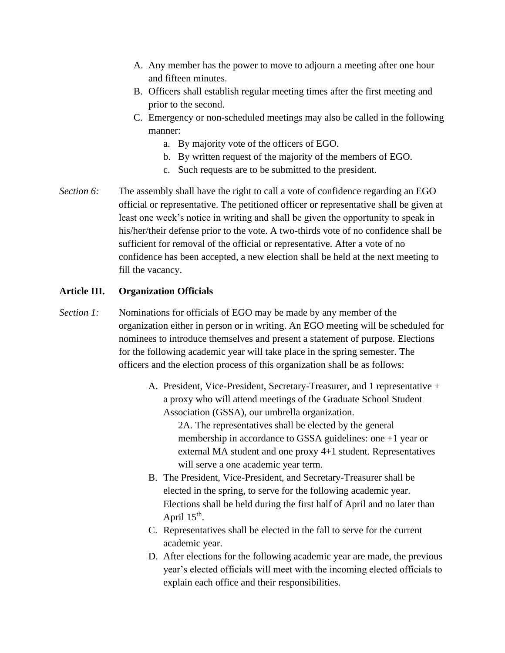- A. Any member has the power to move to adjourn a meeting after one hour and fifteen minutes.
- B. Officers shall establish regular meeting times after the first meeting and prior to the second.
- C. Emergency or non-scheduled meetings may also be called in the following manner:
	- a. By majority vote of the officers of EGO.
	- b. By written request of the majority of the members of EGO.
	- c. Such requests are to be submitted to the president.
- *Section 6:* The assembly shall have the right to call a vote of confidence regarding an EGO official or representative. The petitioned officer or representative shall be given at least one week's notice in writing and shall be given the opportunity to speak in his/her/their defense prior to the vote. A two-thirds vote of no confidence shall be sufficient for removal of the official or representative. After a vote of no confidence has been accepted, a new election shall be held at the next meeting to fill the vacancy.

### **Article III. Organization Officials**

- *Section 1:* Nominations for officials of EGO may be made by any member of the organization either in person or in writing. An EGO meeting will be scheduled for nominees to introduce themselves and present a statement of purpose. Elections for the following academic year will take place in the spring semester. The officers and the election process of this organization shall be as follows:
	- A. President, Vice-President, Secretary-Treasurer, and 1 representative + a proxy who will attend meetings of the Graduate School Student Association (GSSA), our umbrella organization.

2A. The representatives shall be elected by the general membership in accordance to GSSA guidelines: one +1 year or external MA student and one proxy 4+1 student. Representatives will serve a one academic year term.

- B. The President, Vice-President, and Secretary-Treasurer shall be elected in the spring, to serve for the following academic year. Elections shall be held during the first half of April and no later than April  $15<sup>th</sup>$ .
- C. Representatives shall be elected in the fall to serve for the current academic year.
- D. After elections for the following academic year are made, the previous year's elected officials will meet with the incoming elected officials to explain each office and their responsibilities.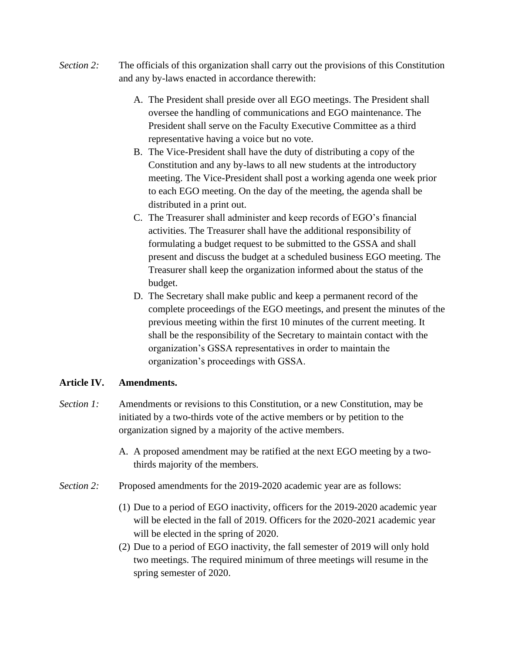- *Section 2:* The officials of this organization shall carry out the provisions of this Constitution and any by-laws enacted in accordance therewith:
	- A. The President shall preside over all EGO meetings. The President shall oversee the handling of communications and EGO maintenance. The President shall serve on the Faculty Executive Committee as a third representative having a voice but no vote.
	- B. The Vice-President shall have the duty of distributing a copy of the Constitution and any by-laws to all new students at the introductory meeting. The Vice-President shall post a working agenda one week prior to each EGO meeting. On the day of the meeting, the agenda shall be distributed in a print out.
	- C. The Treasurer shall administer and keep records of EGO's financial activities. The Treasurer shall have the additional responsibility of formulating a budget request to be submitted to the GSSA and shall present and discuss the budget at a scheduled business EGO meeting. The Treasurer shall keep the organization informed about the status of the budget.
	- D. The Secretary shall make public and keep a permanent record of the complete proceedings of the EGO meetings, and present the minutes of the previous meeting within the first 10 minutes of the current meeting. It shall be the responsibility of the Secretary to maintain contact with the organization's GSSA representatives in order to maintain the organization's proceedings with GSSA.

## **Article IV. Amendments.**

- *Section 1:* Amendments or revisions to this Constitution, or a new Constitution, may be initiated by a two-thirds vote of the active members or by petition to the organization signed by a majority of the active members.
	- A. A proposed amendment may be ratified at the next EGO meeting by a twothirds majority of the members.
- *Section 2:* Proposed amendments for the 2019-2020 academic year are as follows:
	- (1) Due to a period of EGO inactivity, officers for the 2019-2020 academic year will be elected in the fall of 2019. Officers for the 2020-2021 academic year will be elected in the spring of 2020.
	- (2) Due to a period of EGO inactivity, the fall semester of 2019 will only hold two meetings. The required minimum of three meetings will resume in the spring semester of 2020.